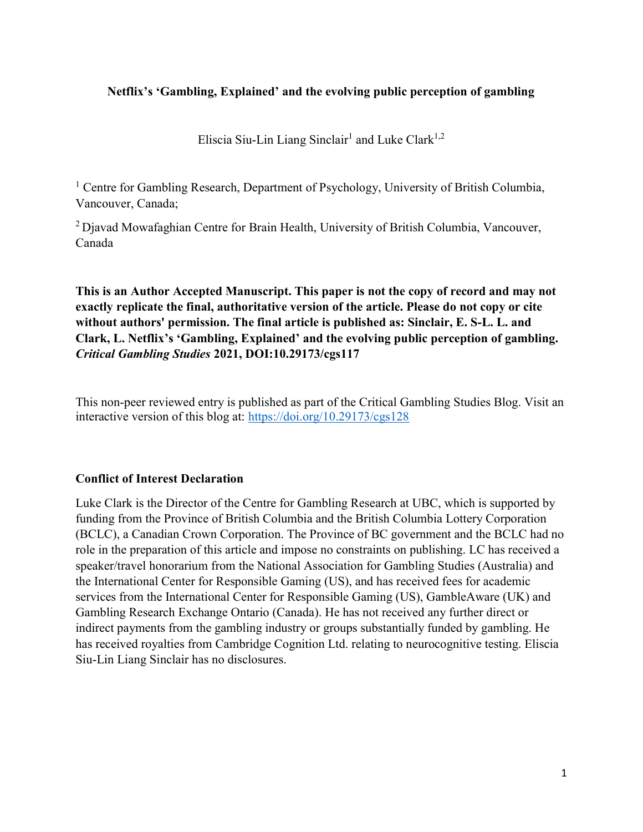## Netflix's 'Gambling, Explained' and the evolving public perception of gambling

Eliscia Siu-Lin Liang Sinclair<sup>1</sup> and Luke Clark<sup>1,2</sup>

<sup>1</sup> Centre for Gambling Research, Department of Psychology, University of British Columbia, Vancouver, Canada;

 $2D$  Djavad Mowafaghian Centre for Brain Health, University of British Columbia, Vancouver, Canada

This is an Author Accepted Manuscript. This paper is not the copy of record and may not exactly replicate the final, authoritative version of the article. Please do not copy or cite without authors' permission. The final article is published as: Sinclair, E. S-L. L. and Clark, L. Netflix's 'Gambling, Explained' and the evolving public perception of gambling. Critical Gambling Studies 2021, DOI:10.29173/cgs117

This non-peer reviewed entry is published as part of the Critical Gambling Studies Blog. Visit an interactive version of this blog at: https://doi.org/10.29173/cgs128

## Conflict of Interest Declaration

Luke Clark is the Director of the Centre for Gambling Research at UBC, which is supported by funding from the Province of British Columbia and the British Columbia Lottery Corporation (BCLC), a Canadian Crown Corporation. The Province of BC government and the BCLC had no role in the preparation of this article and impose no constraints on publishing. LC has received a speaker/travel honorarium from the National Association for Gambling Studies (Australia) and the International Center for Responsible Gaming (US), and has received fees for academic services from the International Center for Responsible Gaming (US), GambleAware (UK) and Gambling Research Exchange Ontario (Canada). He has not received any further direct or indirect payments from the gambling industry or groups substantially funded by gambling. He has received royalties from Cambridge Cognition Ltd. relating to neurocognitive testing. Eliscia Siu-Lin Liang Sinclair has no disclosures.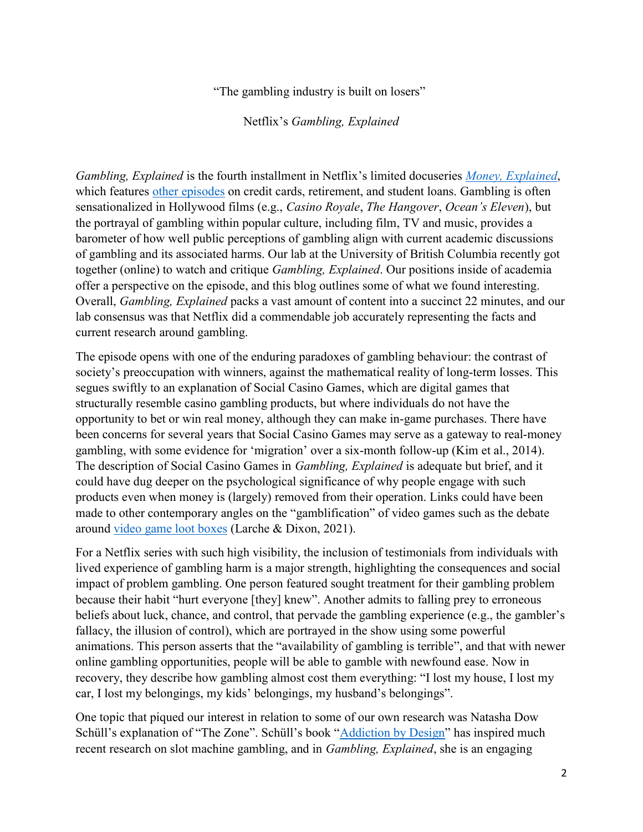"The gambling industry is built on losers"

Netflix's Gambling, Explained

Gambling, Explained is the fourth installment in Netflix's limited docuseries Money, Explained, which features other episodes on credit cards, retirement, and student loans. Gambling is often sensationalized in Hollywood films (e.g., Casino Royale, The Hangover, Ocean's Eleven), but the portrayal of gambling within popular culture, including film, TV and music, provides a barometer of how well public perceptions of gambling align with current academic discussions of gambling and its associated harms. Our lab at the University of British Columbia recently got together (online) to watch and critique *Gambling, Explained*. Our positions inside of academia offer a perspective on the episode, and this blog outlines some of what we found interesting. Overall, Gambling, Explained packs a vast amount of content into a succinct 22 minutes, and our lab consensus was that Netflix did a commendable job accurately representing the facts and current research around gambling.

The episode opens with one of the enduring paradoxes of gambling behaviour: the contrast of society's preoccupation with winners, against the mathematical reality of long-term losses. This segues swiftly to an explanation of Social Casino Games, which are digital games that structurally resemble casino gambling products, but where individuals do not have the opportunity to bet or win real money, although they can make in-game purchases. There have been concerns for several years that Social Casino Games may serve as a gateway to real-money gambling, with some evidence for 'migration' over a six-month follow-up (Kim et al., 2014). The description of Social Casino Games in Gambling, Explained is adequate but brief, and it could have dug deeper on the psychological significance of why people engage with such products even when money is (largely) removed from their operation. Links could have been made to other contemporary angles on the "gamblification" of video games such as the debate around video game loot boxes (Larche & Dixon, 2021).

For a Netflix series with such high visibility, the inclusion of testimonials from individuals with lived experience of gambling harm is a major strength, highlighting the consequences and social impact of problem gambling. One person featured sought treatment for their gambling problem because their habit "hurt everyone [they] knew". Another admits to falling prey to erroneous beliefs about luck, chance, and control, that pervade the gambling experience (e.g., the gambler's fallacy, the illusion of control), which are portrayed in the show using some powerful animations. This person asserts that the "availability of gambling is terrible", and that with newer online gambling opportunities, people will be able to gamble with newfound ease. Now in recovery, they describe how gambling almost cost them everything: "I lost my house, I lost my car, I lost my belongings, my kids' belongings, my husband's belongings".

One topic that piqued our interest in relation to some of our own research was Natasha Dow Schüll's explanation of "The Zone". Schüll's book "Addiction by Design" has inspired much recent research on slot machine gambling, and in *Gambling, Explained*, she is an engaging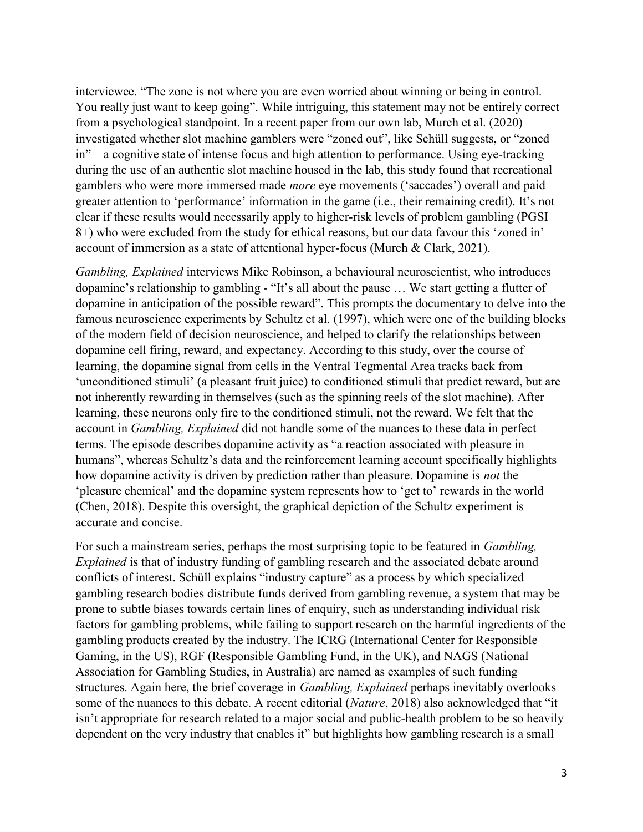interviewee. "The zone is not where you are even worried about winning or being in control. You really just want to keep going". While intriguing, this statement may not be entirely correct from a psychological standpoint. In a recent paper from our own lab, Murch et al. (2020) investigated whether slot machine gamblers were "zoned out", like Schüll suggests, or "zoned in" – a cognitive state of intense focus and high attention to performance. Using eye-tracking during the use of an authentic slot machine housed in the lab, this study found that recreational gamblers who were more immersed made more eye movements ('saccades') overall and paid greater attention to 'performance' information in the game (i.e., their remaining credit). It's not clear if these results would necessarily apply to higher-risk levels of problem gambling (PGSI 8+) who were excluded from the study for ethical reasons, but our data favour this 'zoned in' account of immersion as a state of attentional hyper-focus (Murch & Clark, 2021).

Gambling, Explained interviews Mike Robinson, a behavioural neuroscientist, who introduces dopamine's relationship to gambling - "It's all about the pause … We start getting a flutter of dopamine in anticipation of the possible reward". This prompts the documentary to delve into the famous neuroscience experiments by Schultz et al. (1997), which were one of the building blocks of the modern field of decision neuroscience, and helped to clarify the relationships between dopamine cell firing, reward, and expectancy. According to this study, over the course of learning, the dopamine signal from cells in the Ventral Tegmental Area tracks back from 'unconditioned stimuli' (a pleasant fruit juice) to conditioned stimuli that predict reward, but are not inherently rewarding in themselves (such as the spinning reels of the slot machine). After learning, these neurons only fire to the conditioned stimuli, not the reward. We felt that the account in Gambling, Explained did not handle some of the nuances to these data in perfect terms. The episode describes dopamine activity as "a reaction associated with pleasure in humans", whereas Schultz's data and the reinforcement learning account specifically highlights how dopamine activity is driven by prediction rather than pleasure. Dopamine is *not* the 'pleasure chemical' and the dopamine system represents how to 'get to' rewards in the world (Chen, 2018). Despite this oversight, the graphical depiction of the Schultz experiment is accurate and concise.

For such a mainstream series, perhaps the most surprising topic to be featured in Gambling, Explained is that of industry funding of gambling research and the associated debate around conflicts of interest. Schüll explains "industry capture" as a process by which specialized gambling research bodies distribute funds derived from gambling revenue, a system that may be prone to subtle biases towards certain lines of enquiry, such as understanding individual risk factors for gambling problems, while failing to support research on the harmful ingredients of the gambling products created by the industry. The ICRG (International Center for Responsible Gaming, in the US), RGF (Responsible Gambling Fund, in the UK), and NAGS (National Association for Gambling Studies, in Australia) are named as examples of such funding structures. Again here, the brief coverage in Gambling, Explained perhaps inevitably overlooks some of the nuances to this debate. A recent editorial (Nature, 2018) also acknowledged that "it isn't appropriate for research related to a major social and public-health problem to be so heavily dependent on the very industry that enables it" but highlights how gambling research is a small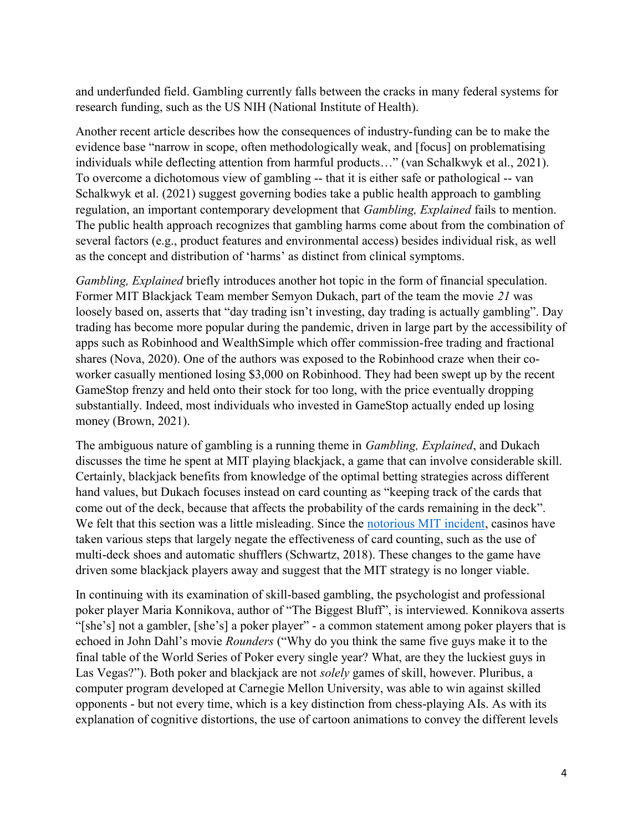and underfunded field. Gambling currently falls between the cracks in many federal systems for research funding, such as the US NIH (National Institute of Health).

Another recent article describes how the consequences of industry-funding can be to make the evidence base "narrow in scope, often methodologically weak, and [focus] on problematising individuals while deflecting attention from harmful products…" (van Schalkwyk et al., 2021). To overcome a dichotomous view of gambling -- that it is either safe or pathological -- van Schalkwyk et al. (2021) suggest governing bodies take a public health approach to gambling regulation, an important contemporary development that Gambling, Explained fails to mention. The public health approach recognizes that gambling harms come about from the combination of several factors (e.g., product features and environmental access) besides individual risk, as well as the concept and distribution of 'harms' as distinct from clinical symptoms.

Gambling, Explained briefly introduces another hot topic in the form of financial speculation. Former MIT Blackjack Team member Semyon Dukach, part of the team the movie 21 was loosely based on, asserts that "day trading isn't investing, day trading is actually gambling". Day trading has become more popular during the pandemic, driven in large part by the accessibility of apps such as Robinhood and WealthSimple which offer commission-free trading and fractional shares (Nova, 2020). One of the authors was exposed to the Robinhood craze when their coworker casually mentioned losing \$3,000 on Robinhood. They had been swept up by the recent GameStop frenzy and held onto their stock for too long, with the price eventually dropping substantially. Indeed, most individuals who invested in GameStop actually ended up losing money (Brown, 2021).

The ambiguous nature of gambling is a running theme in *Gambling, Explained*, and Dukach discusses the time he spent at MIT playing blackjack, a game that can involve considerable skill. Certainly, blackjack benefits from knowledge of the optimal betting strategies across different hand values, but Dukach focuses instead on card counting as "keeping track of the cards that come out of the deck, because that affects the probability of the cards remaining in the deck". We felt that this section was a little misleading. Since the notorious MIT incident, casinos have taken various steps that largely negate the effectiveness of card counting, such as the use of multi-deck shoes and automatic shufflers (Schwartz, 2018). These changes to the game have driven some blackjack players away and suggest that the MIT strategy is no longer viable.

In continuing with its examination of skill-based gambling, the psychologist and professional poker player Maria Konnikova, author of "The Biggest Bluff", is interviewed. Konnikova asserts "[she's] not a gambler, [she's] a poker player" - a common statement among poker players that is echoed in John Dahl's movie Rounders ("Why do you think the same five guys make it to the final table of the World Series of Poker every single year? What, are they the luckiest guys in Las Vegas?"). Both poker and blackjack are not *solely* games of skill, however. Pluribus, a computer program developed at Carnegie Mellon University, was able to win against skilled opponents - but not every time, which is a key distinction from chess-playing AIs. As with its explanation of cognitive distortions, the use of cartoon animations to convey the different levels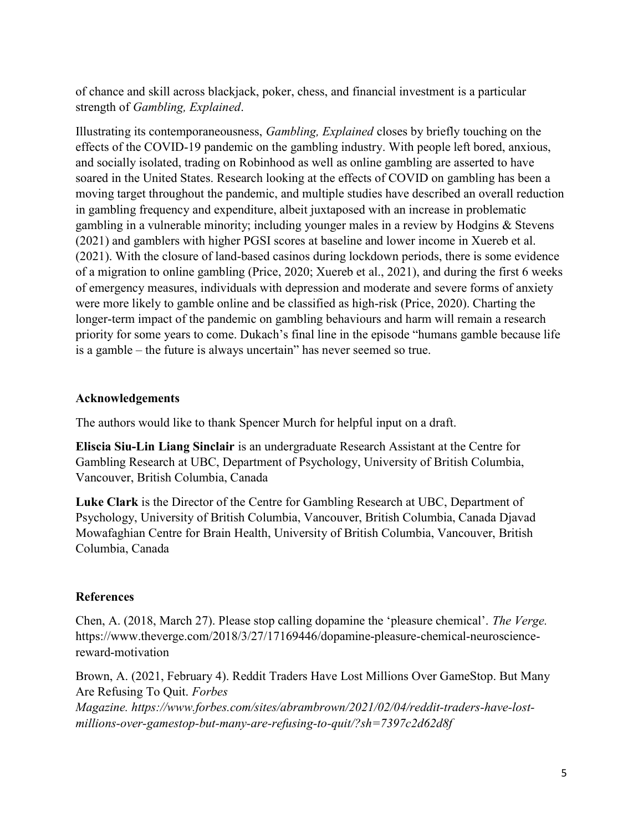of chance and skill across blackjack, poker, chess, and financial investment is a particular strength of Gambling, Explained.

Illustrating its contemporaneousness, Gambling, Explained closes by briefly touching on the effects of the COVID-19 pandemic on the gambling industry. With people left bored, anxious, and socially isolated, trading on Robinhood as well as online gambling are asserted to have soared in the United States. Research looking at the effects of COVID on gambling has been a moving target throughout the pandemic, and multiple studies have described an overall reduction in gambling frequency and expenditure, albeit juxtaposed with an increase in problematic gambling in a vulnerable minority; including younger males in a review by Hodgins & Stevens (2021) and gamblers with higher PGSI scores at baseline and lower income in Xuereb et al. (2021). With the closure of land-based casinos during lockdown periods, there is some evidence of a migration to online gambling (Price, 2020; Xuereb et al., 2021), and during the first 6 weeks of emergency measures, individuals with depression and moderate and severe forms of anxiety were more likely to gamble online and be classified as high-risk (Price, 2020). Charting the longer-term impact of the pandemic on gambling behaviours and harm will remain a research priority for some years to come. Dukach's final line in the episode "humans gamble because life is a gamble – the future is always uncertain" has never seemed so true.

## Acknowledgements

The authors would like to thank Spencer Murch for helpful input on a draft.

Eliscia Siu-Lin Liang Sinclair is an undergraduate Research Assistant at the Centre for Gambling Research at UBC, Department of Psychology, University of British Columbia, Vancouver, British Columbia, Canada

Luke Clark is the Director of the Centre for Gambling Research at UBC, Department of Psychology, University of British Columbia, Vancouver, British Columbia, Canada Djavad Mowafaghian Centre for Brain Health, University of British Columbia, Vancouver, British Columbia, Canada

## References

Chen, A. (2018, March 27). Please stop calling dopamine the 'pleasure chemical'. The Verge. https://www.theverge.com/2018/3/27/17169446/dopamine-pleasure-chemical-neurosciencereward-motivation

Brown, A. (2021, February 4). Reddit Traders Have Lost Millions Over GameStop. But Many Are Refusing To Quit. Forbes Magazine. https://www.forbes.com/sites/abrambrown/2021/02/04/reddit-traders-have-lostmillions-over-gamestop-but-many-are-refusing-to-quit/?sh=7397c2d62d8f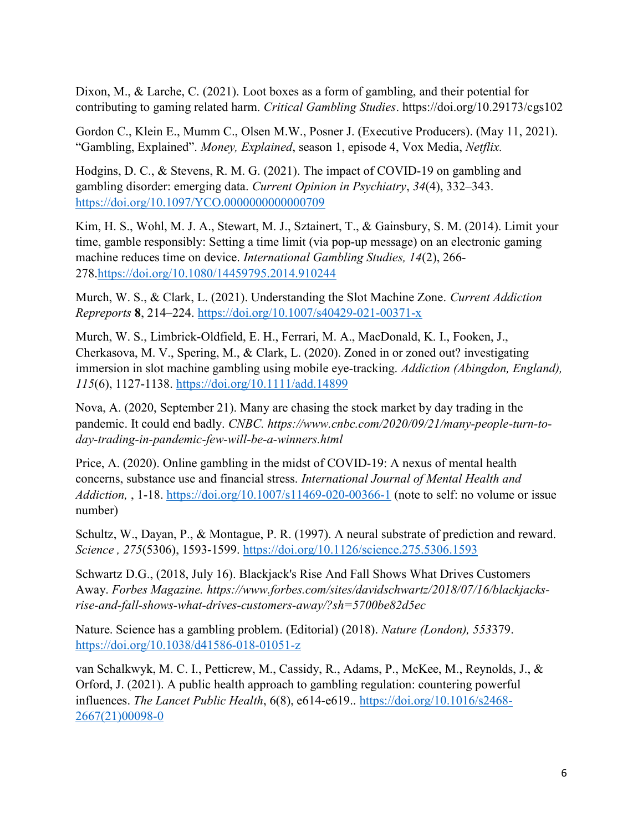Dixon, M., & Larche, C. (2021). Loot boxes as a form of gambling, and their potential for contributing to gaming related harm. Critical Gambling Studies. https://doi.org/10.29173/cgs102

Gordon C., Klein E., Mumm C., Olsen M.W., Posner J. (Executive Producers). (May 11, 2021). "Gambling, Explained". Money, Explained, season 1, episode 4, Vox Media, Netflix.

Hodgins, D. C., & Stevens, R. M. G. (2021). The impact of COVID-19 on gambling and gambling disorder: emerging data. Current Opinion in Psychiatry, 34(4), 332–343. https://doi.org/10.1097/YCO.0000000000000709

Kim, H. S., Wohl, M. J. A., Stewart, M. J., Sztainert, T., & Gainsbury, S. M. (2014). Limit your time, gamble responsibly: Setting a time limit (via pop-up message) on an electronic gaming machine reduces time on device. International Gambling Studies, 14(2), 266- 278.https://doi.org/10.1080/14459795.2014.910244

Murch, W. S., & Clark, L. (2021). Understanding the Slot Machine Zone. Current Addiction Repreports 8, 214–224. https://doi.org/10.1007/s40429-021-00371-x

Murch, W. S., Limbrick‐Oldfield, E. H., Ferrari, M. A., MacDonald, K. I., Fooken, J., Cherkasova, M. V., Spering, M., & Clark, L. (2020). Zoned in or zoned out? investigating immersion in slot machine gambling using mobile eye-tracking. Addiction (Abingdon, England), 115(6), 1127-1138. https://doi.org/10.1111/add.14899

Nova, A. (2020, September 21). Many are chasing the stock market by day trading in the pandemic. It could end badly. CNBC. https://www.cnbc.com/2020/09/21/many-people-turn-today-trading-in-pandemic-few-will-be-a-winners.html

Price, A. (2020). Online gambling in the midst of COVID-19: A nexus of mental health concerns, substance use and financial stress. International Journal of Mental Health and Addiction, , 1-18. https://doi.org/10.1007/s11469-020-00366-1 (note to self: no volume or issue number)

Schultz, W., Dayan, P., & Montague, P. R. (1997). A neural substrate of prediction and reward. Science , 275(5306), 1593-1599. https://doi.org/10.1126/science.275.5306.1593

Schwartz D.G., (2018, July 16). Blackjack's Rise And Fall Shows What Drives Customers Away. Forbes Magazine. https://www.forbes.com/sites/davidschwartz/2018/07/16/blackjacksrise-and-fall-shows-what-drives-customers-away/?sh=5700be82d5ec

Nature. Science has a gambling problem. (Editorial) (2018). Nature (London), 553379. https://doi.org/10.1038/d41586-018-01051-z

van Schalkwyk, M. C. I., Petticrew, M., Cassidy, R., Adams, P., McKee, M., Reynolds, J., & Orford, J. (2021). A public health approach to gambling regulation: countering powerful influences. The Lancet Public Health, 6(8), e614-e619.. https://doi.org/10.1016/s2468- 2667(21)00098-0